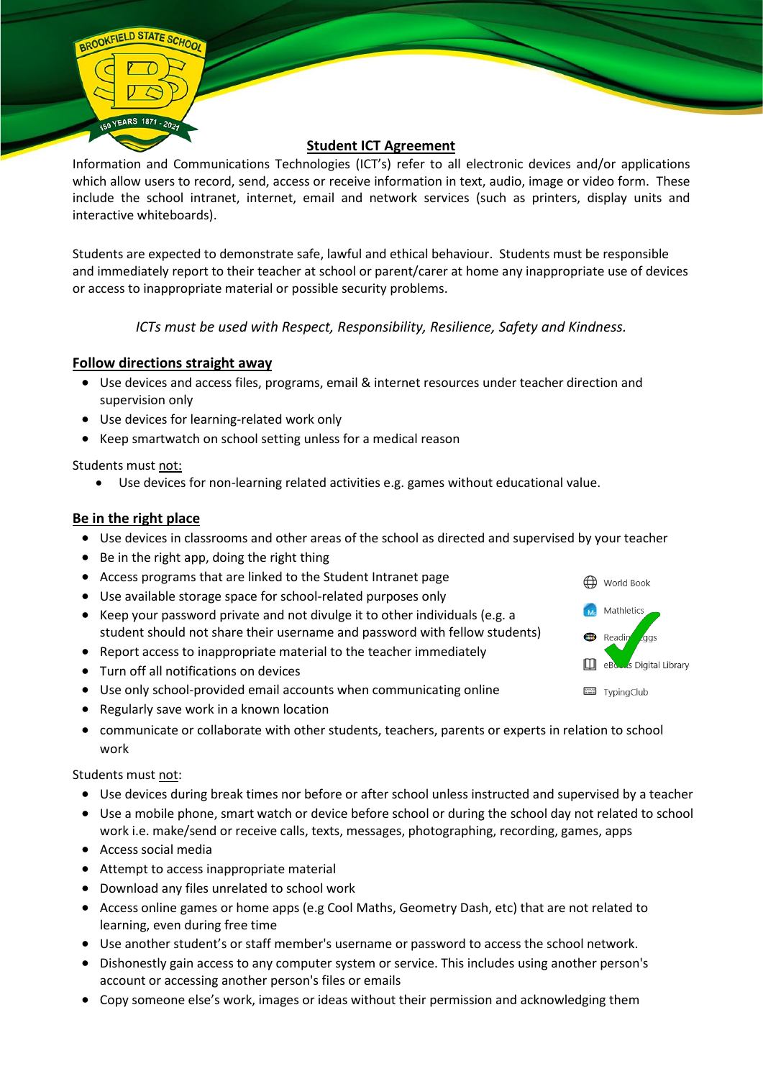

Information and Communications Technologies (ICT's) refer to all electronic devices and/or applications which allow users to record, send, access or receive information in text, audio, image or video form. These include the school intranet, internet, email and network services (such as printers, display units and interactive whiteboards).

Students are expected to demonstrate safe, lawful and ethical behaviour. Students must be responsible and immediately report to their teacher at school or parent/carer at home any inappropriate use of devices or access to inappropriate material or possible security problems.

*ICTs must be used with Respect, Responsibility, Resilience, Safety and Kindness.*

# **Follow directions straight away**

- Use devices and access files, programs, email & internet resources under teacher direction and supervision only
- Use devices for learning-related work only
- Keep smartwatch on school setting unless for a medical reason

Students must not:

BROOKFIELD STATE SCHOO

• Use devices for non-learning related activities e.g. games without educational value.

## **Be in the right place**

- Use devices in classrooms and other areas of the school as directed and supervised by your teacher
- Be in the right app, doing the right thing
- Access programs that are linked to the Student Intranet page
- Use available storage space for school-related purposes only
- Keep your password private and not divulge it to other individuals (e.g. a student should not share their username and password with fellow students)
- Report access to inappropriate material to the teacher immediately
- Turn off all notifications on devices
- Use only school-provided email accounts when communicating online
- Regularly save work in a known location
- communicate or collaborate with other students, teachers, parents or experts in relation to school work

Students must not:

- Use devices during break times nor before or after school unless instructed and supervised by a teacher
- Use a mobile phone, smart watch or device before school or during the school day not related to school work i.e. make/send or receive calls, texts, messages, photographing, recording, games, apps
- Access social media
- Attempt to access inappropriate material
- Download any files unrelated to school work
- Access online games or home apps (e.g Cool Maths, Geometry Dash, etc) that are not related to learning, even during free time
- Use another student's or staff member's username or password to access the school network.
- Dishonestly gain access to any computer system or service. This includes using another person's account or accessing another person's files or emails
- Copy someone else's work, images or ideas without their permission and acknowledging them

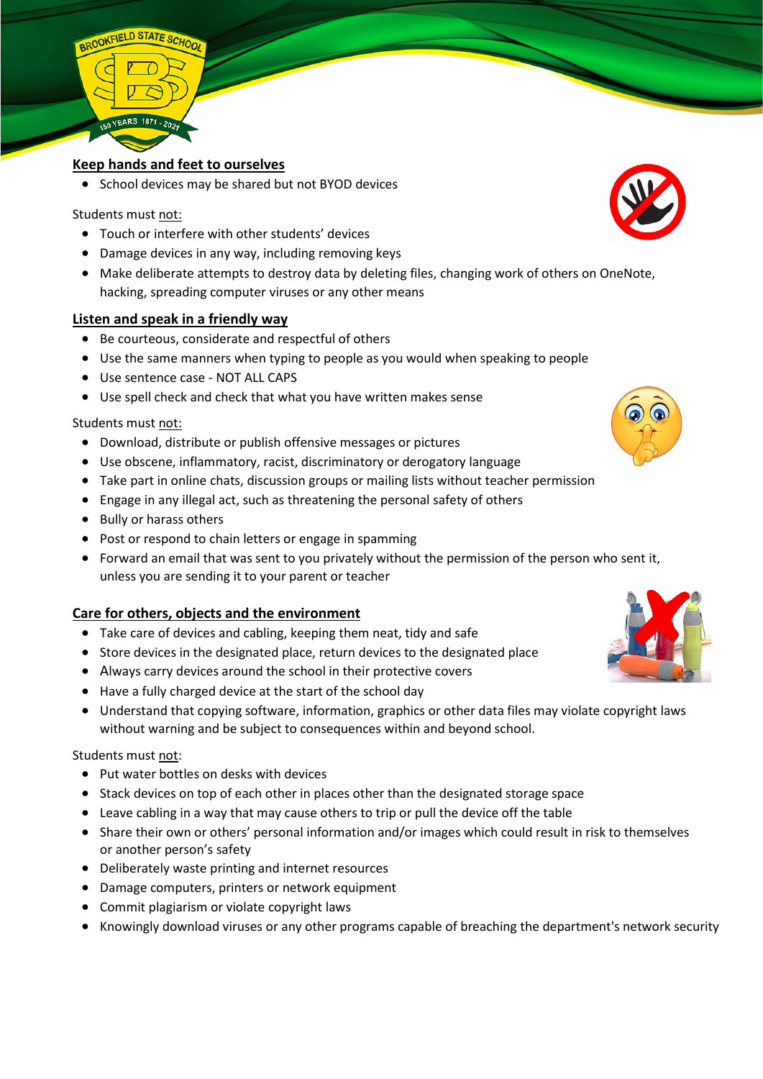

### **Keep hands and feet to ourselves**

• School devices may be shared but not BYOD devices

#### Students must not:

- Touch or interfere with other students' devices
- Damage devices in any way, including removing keys
- Make deliberate attempts to destroy data by deleting files, changing work of others on OneNote, hacking, spreading computer viruses or any other means

#### **Listen and speak in a friendly way**

- Be courteous, considerate and respectful of others
- Use the same manners when typing to people as you would when speaking to people
- Use sentence case NOT ALL CAPS
- Use spell check and check that what you have written makes sense

#### Students must not:

- Download, distribute or publish offensive messages or pictures
- Use obscene, inflammatory, racist, discriminatory or derogatory language
- Take part in online chats, discussion groups or mailing lists without teacher permission
- Engage in any illegal act, such as threatening the personal safety of others
- Bully or harass others
- Post or respond to chain letters or engage in spamming
- Forward an email that was sent to you privately without the permission of the person who sent it, unless you are sending it to your parent or teacher

#### **Care for others, objects and the environment**

- Take care of devices and cabling, keeping them neat, tidy and safe
- Store devices in the designated place, return devices to the designated place
- Always carry devices around the school in their protective covers
- Have a fully charged device at the start of the school day
- Understand that copying software, information, graphics or other data files may violate copyright laws without warning and be subject to consequences within and beyond school.

#### Students must not:

- Put water bottles on desks with devices
- Stack devices on top of each other in places other than the designated storage space
- Leave cabling in a way that may cause others to trip or pull the device off the table
- Share their own or others' personal information and/or images which could result in risk to themselves or another person's safety
- Deliberately waste printing and internet resources
- Damage computers, printers or network equipment
- Commit plagiarism or violate copyright laws
- Knowingly download viruses or any other programs capable of breaching the department's network security